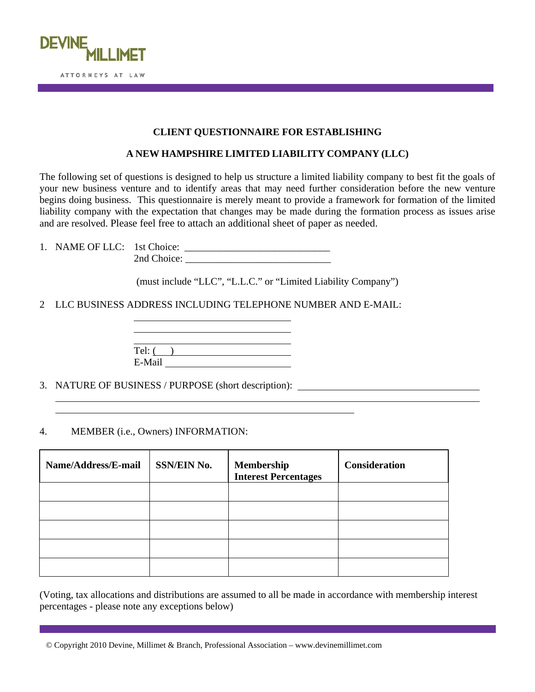

## **CLIENT QUESTIONNAIRE FOR ESTABLISHING**

## **A NEW HAMPSHIRE LIMITED LIABILITY COMPANY (LLC)**

The following set of questions is designed to help us structure a limited liability company to best fit the goals of your new business venture and to identify areas that may need further consideration before the new venture begins doing business. This questionnaire is merely meant to provide a framework for formation of the limited liability company with the expectation that changes may be made during the formation process as issues arise and are resolved. Please feel free to attach an additional sheet of paper as needed.

1. NAME OF LLC: 1st Choice: \_\_\_\_\_\_\_\_\_\_\_\_\_\_\_\_\_\_\_\_\_\_\_\_\_\_\_\_\_ 2nd Choice: \_\_\_\_\_\_\_\_\_\_\_\_\_\_\_\_\_\_\_\_\_\_\_\_\_\_\_\_\_

(must include "LLC", "L.L.C." or "Limited Liability Company")

2 LLC BUSINESS ADDRESS INCLUDING TELEPHONE NUMBER AND E-MAIL:

<u> 1980 - Johann Barbara, martxa a</u>

<u> 1980 - Johann Barbara, martin amerikan basar da</u>  $Tel: ( )$ E-Mail

3. NATURE OF BUSINESS / PURPOSE (short description):

4. MEMBER (i.e., Owners) INFORMATION:

 $\overline{a}$  $\overline{a}$ 

| Name/Address/E-mail | <b>SSN/EIN No.</b> | Membership<br><b>Interest Percentages</b> | <b>Consideration</b> |
|---------------------|--------------------|-------------------------------------------|----------------------|
|                     |                    |                                           |                      |
|                     |                    |                                           |                      |
|                     |                    |                                           |                      |
|                     |                    |                                           |                      |
|                     |                    |                                           |                      |

(Voting, tax allocations and distributions are assumed to all be made in accordance with membership interest percentages - please note any exceptions below)

<sup>©</sup> Copyright 2010 Devine, Millimet & Branch, Professional Association – www.devinemillimet.com